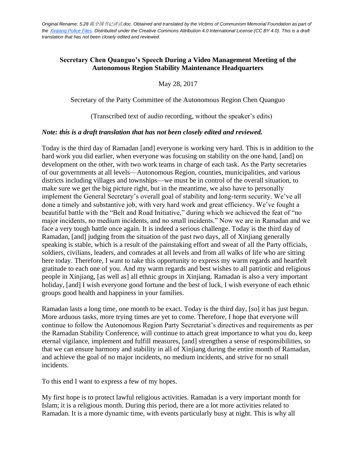## **Secretary Chen Quanguo's Speech During a Video Management Meeting of the Autonomous Region Stability Maintenance Headquarters**

May 28, 2017

Secretary of the Party Committee of the Autonomous Region Chen Quanguo

(Transcribed text of audio recording, without the speaker's edits)

## *Note: this is a draft translation that has not been closely edited and reviewed.*

Today is the third day of Ramadan [and] everyone is working very hard. This is in addition to the hard work you did earlier, when everyone was focusing on stability on the one hand, [and] on development on the other, with two work teams in charge of each task. As the Party secretaries of our governments at all levels—Autonomous Region, counties, municipalities, and various districts including villages and townships—we must be in control of the overall situation, to make sure we get the big picture right, but in the meantime, we also have to personally implement the General Secretary's overall goal of stability and long-term security. We've all done a timely and substantive job, with very hard work and great efficiency. We've fought a beautiful battle with the "Belt and Road Initiative," during which we achieved the feat of "no major incidents, no medium incidents, and no small incidents." Now we are in Ramadan and we face a very tough battle once again. It is indeed a serious challenge. Today is the third day of Ramadan, [and] judging from the situation of the past two days, all of Xinjiang generally speaking is stable, which is a result of the painstaking effort and sweat of all the Party officials, soldiers, civilians, leaders, and comrades at all levels and from all walks of life who are sitting here today. Therefore, I want to take this opportunity to express my warm regards and heartfelt gratitude to each one of you. And my warm regards and best wishes to all patriotic and religious people in Xinjiang, [as well as] all ethnic groups in Xinjiang. Ramadan is also a very important holiday, [and] I wish everyone good fortune and the best of luck, I wish everyone of each ethnic groups good health and happiness in your families.

Ramadan lasts a long time, one month to be exact. Today is the third day, [so] it has just begun. More arduous tasks, more trying times are yet to come. Therefore, I hope that everyone will continue to follow the Autonomous Region Party Secretariat's directives and requirements as per the Ramadan Stability Conference, will continue to attach great importance to what you do, keep eternal vigilance, implement and fulfill measures, [and] strengthen a sense of responsibilities, so that we can ensure harmony and stability in all of Xinjiang during the entire month of Ramadan, and achieve the goal of no major incidents, no medium incidents, and strive for no small incidents.

To this end I want to express a few of my hopes.

My first hope is to protect lawful religious activities. Ramadan is a very important month for Islam; it is a religious month. During this period, there are a lot more activities related to Ramadan. It is a more dynamic time, with events particularly busy at night. This is why all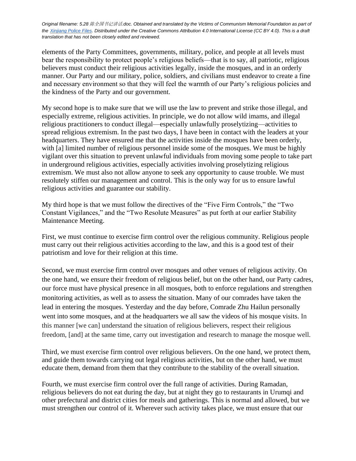elements of the Party Committees, governments, military, police, and people at all levels must bear the responsibility to protect people's religious beliefs—that is to say, all patriotic, religious believers must conduct their religious activities legally, inside the mosques, and in an orderly manner. Our Party and our military, police, soldiers, and civilians must endeavor to create a fine and necessary environment so that they will feel the warmth of our Party's religious policies and the kindness of the Party and our government.

My second hope is to make sure that we will use the law to prevent and strike those illegal, and especially extreme, religious activities. In principle, we do not allow wild imams, and illegal religious practitioners to conduct illegal—especially unlawfully proselytizing—activities to spread religious extremism. In the past two days, I have been in contact with the leaders at your headquarters. They have ensured me that the activities inside the mosques have been orderly, with [a] limited number of religious personnel inside some of the mosques. We must be highly vigilant over this situation to prevent unlawful individuals from moving some people to take part in underground religious activities, especially activities involving proselytizing religious extremism. We must also not allow anyone to seek any opportunity to cause trouble. We must resolutely stiffen our management and control. This is the only way for us to ensure lawful religious activities and guarantee our stability.

My third hope is that we must follow the directives of the "Five Firm Controls," the "Two Constant Vigilances," and the "Two Resolute Measures" as put forth at our earlier Stability Maintenance Meeting.

First, we must continue to exercise firm control over the religious community. Religious people must carry out their religious activities according to the law, and this is a good test of their patriotism and love for their religion at this time.

Second, we must exercise firm control over mosques and other venues of religious activity. On the one hand, we ensure their freedom of religious belief, but on the other hand, our Party cadres, our force must have physical presence in all mosques, both to enforce regulations and strengthen monitoring activities, as well as to assess the situation. Many of our comrades have taken the lead in entering the mosques. Yesterday and the day before, Comrade Zhu Hailun personally went into some mosques, and at the headquarters we all saw the videos of his mosque visits. In this manner [we can] understand the situation of religious believers, respect their religious freedom, [and] at the same time, carry out investigation and research to manage the mosque well.

Third, we must exercise firm control over religious believers. On the one hand, we protect them, and guide them towards carrying out legal religious activities, but on the other hand, we must educate them, demand from them that they contribute to the stability of the overall situation.

Fourth, we must exercise firm control over the full range of activities. During Ramadan, religious believers do not eat during the day, but at night they go to restaurants in Urumqi and other prefectural and district cities for meals and gatherings. This is normal and allowed, but we must strengthen our control of it. Wherever such activity takes place, we must ensure that our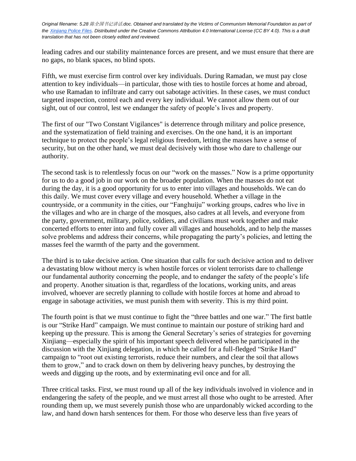leading cadres and our stability maintenance forces are present, and we must ensure that there are no gaps, no blank spaces, no blind spots.

Fifth, we must exercise firm control over key individuals. During Ramadan, we must pay close attention to key individuals—in particular, those with ties to hostile forces at home and abroad, who use Ramadan to infiltrate and carry out sabotage activities. In these cases, we must conduct targeted inspection, control each and every key individual. We cannot allow them out of our sight, out of our control, lest we endanger the safety of people's lives and property.

The first of our "Two Constant Vigilances" is deterrence through military and police presence, and the systematization of field training and exercises. On the one hand, it is an important technique to protect the people's legal religious freedom, letting the masses have a sense of security, but on the other hand, we must deal decisively with those who dare to challenge our authority.

The second task is to relentlessly focus on our "work on the masses." Now is a prime opportunity for us to do a good job in our work on the broader population. When the masses do not eat during the day, it is a good opportunity for us to enter into villages and households. We can do this daily. We must cover every village and every household. Whether a village in the countryside, or a community in the cities, our "Fanghuiju" working groups, cadres who live in the villages and who are in charge of the mosques, also cadres at all levels, and everyone from the party, government, military, police, soldiers, and civilians must work together and make concerted efforts to enter into and fully cover all villages and households, and to help the masses solve problems and address their concerns, while propagating the party's policies, and letting the masses feel the warmth of the party and the government.

The third is to take decisive action. One situation that calls for such decisive action and to deliver a devastating blow without mercy is when hostile forces or violent terrorists dare to challenge our fundamental authority concerning the people, and to endanger the safety of the people's life and property. Another situation is that, regardless of the locations, working units, and areas involved, whoever are secretly planning to collude with hostile forces at home and abroad to engage in sabotage activities, we must punish them with severity. This is my third point.

The fourth point is that we must continue to fight the "three battles and one war." The first battle is our "Strike Hard" campaign. We must continue to maintain our posture of striking hard and keeping up the pressure. This is among the General Secretary's series of strategies for governing Xinjiang—especially the spirit of his important speech delivered when he participated in the discussion with the Xinjiang delegation, in which he called for a full-fledged "Strike Hard" campaign to "root out existing terrorists, reduce their numbers, and clear the soil that allows them to grow," and to crack down on them by delivering heavy punches, by destroying the weeds and digging up the roots, and by exterminating evil once and for all.

Three critical tasks. First, we must round up all of the key individuals involved in violence and in endangering the safety of the people, and we must arrest all those who ought to be arrested. After rounding them up, we must severely punish those who are unpardonably wicked according to the law, and hand down harsh sentences for them. For those who deserve less than five years of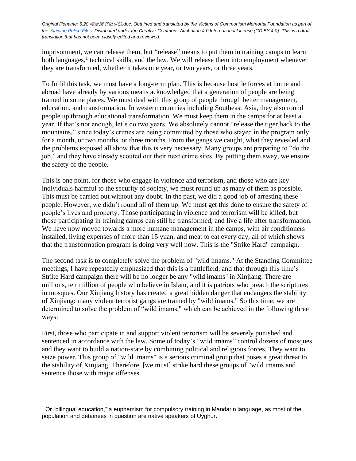imprisonment, we can release them, but "release" means to put them in training camps to learn both languages,<sup>1</sup> technical skills, and the law. We will release them into employment whenever they are transformed, whether it takes one year, or two years, or three years.

To fulfil this task, we must have a long-term plan. This is because hostile forces at home and abroad have already by various means acknowledged that a generation of people are being trained in some places. We must deal with this group of people through better management, education, and transformation. In western countries including Southeast Asia, they also round people up through educational transformation. We must keep them in the camps for at least a year. If that's not enough, let's do two years. We absolutely cannot "release the tiger back to the mountains," since today's crimes are being committed by those who stayed in the program only for a month, or two months, or three months. From the gangs we caught, what they revealed and the problems exposed all show that this is very necessary. Many groups are preparing to "do the job," and they have already scouted out their next crime sites. By putting them away, we ensure the safety of the people.

This is one point, for those who engage in violence and terrorism, and those who are key individuals harmful to the security of society, we must round up as many of them as possible. This must be carried out without any doubt. In the past, we did a good job of arresting these people. However, we didn't round all of them up. We must get this done to ensure the safety of people's lives and property. Those participating in violence and terrorism will be killed, but those participating in training camps can still be transformed, and live a life after transformation. We have now moved towards a more humane management in the camps, with air conditioners installed, living expenses of more than 15 yuan, and meat to eat every day, all of which shows that the transformation program is doing very well now. This is the "Strike Hard" campaign.

The second task is to completely solve the problem of "wild imams." At the Standing Committee meetings, I have repeatedly emphasized that this is a battlefield, and that through this time's Strike Hard campaign there will be no longer be any "wild imams'' in Xinjiang. There are millions, ten million of people who believe in Islam, and it is patriots who preach the scriptures in mosques. Our Xinjiang history has created a great hidden danger that endangers the stability of Xinjiang: many violent terrorist gangs are trained by "wild imams." So this time, we are determined to solve the problem of "wild imams," which can be achieved in the following three ways:

First, those who participate in and support violent terrorism will be severely punished and sentenced in accordance with the law. Some of today's "wild imams" control dozens of mosques, and they want to build a nation-state by combining political and religious forces. They want to seize power. This group of "wild imams" is a serious criminal group that poses a great threat to the stability of Xinjiang. Therefore, [we must] strike hard these groups of "wild imams and sentence those with major offenses.

<sup>1</sup> Or "bilingual education," a euphemism for compulsory training in Mandarin language, as most of the population and detainees in question are native speakers of Uyghur.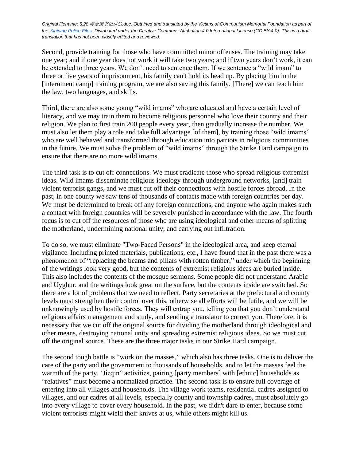Second, provide training for those who have committed minor offenses. The training may take one year; and if one year does not work it will take two years; and if two years don't work, it can be extended to three years. We don't need to sentence them. If we sentence a "wild imam" to three or five years of imprisonment, his family can't hold its head up. By placing him in the [internment camp] training program, we are also saving this family. [There] we can teach him the law, two languages, and skills.

Third, there are also some young "wild imams" who are educated and have a certain level of literacy, and we may train them to become religious personnel who love their country and their religion. We plan to first train 200 people every year, then gradually increase the number. We must also let them play a role and take full advantage [of them], by training those "wild imams" who are well behaved and transformed through education into patriots in religious communities in the future. We must solve the problem of "wild imams" through the Strike Hard campaign to ensure that there are no more wild imams.

The third task is to cut off connections. We must eradicate those who spread religious extremist ideas. Wild imams disseminate religious ideology through underground networks, [and] train violent terrorist gangs, and we must cut off their connections with hostile forces abroad. In the past, in one county we saw tens of thousands of contacts made with foreign countries per day. We must be determined to break off any foreign connections, and anyone who again makes such a contact with foreign countries will be severely punished in accordance with the law. The fourth focus is to cut off the resources of those who are using ideological and other means of splitting the motherland, undermining national unity, and carrying out infiltration.

To do so, we must eliminate "Two-Faced Persons" in the ideological area, and keep eternal vigilance. Including printed materials, publications, etc., I have found that in the past there was a phenomenon of "replacing the beams and pillars with rotten timber," under which the beginning of the writings look very good, but the contents of extremist religious ideas are buried inside. This also includes the contents of the mosque sermons. Some people did not understand Arabic and Uyghur, and the writings look great on the surface, but the contents inside are switched. So there are a lot of problems that we need to reflect. Party secretaries at the prefectural and county levels must strengthen their control over this, otherwise all efforts will be futile, and we will be unknowingly used by hostile forces. They will entrap you, telling you that you don't understand religious affairs management and study, and sending a translator to correct you. Therefore, it is necessary that we cut off the original source for dividing the motherland through ideological and other means, destroying national unity and spreading extremist religious ideas. So we must cut off the original source. These are the three major tasks in our Strike Hard campaign.

The second tough battle is "work on the masses," which also has three tasks. One is to deliver the care of the party and the government to thousands of households, and to let the masses feel the warmth of the party. 'Jieqin' activities, pairing [party members] with [ethnic] households as "relatives" must become a normalized practice. The second task is to ensure full coverage of entering into all villages and households. The village work teams, residential cadres assigned to villages, and our cadres at all levels, especially county and township cadres, must absolutely go into every village to cover every household. In the past, we didn't dare to enter, because some violent terrorists might wield their knives at us, while others might kill us.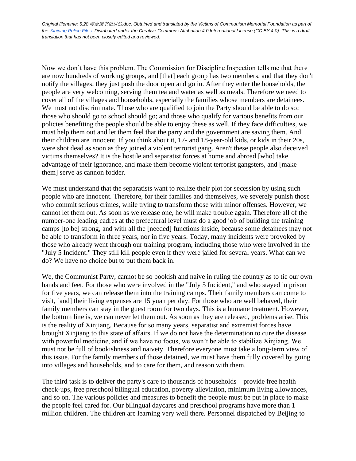Now we don't have this problem. The Commission for Discipline Inspection tells me that there are now hundreds of working groups, and [that] each group has two members, and that they don't notify the villages, they just push the door open and go in. After they enter the households, the people are very welcoming, serving them tea and water as well as meals. Therefore we need to cover all of the villages and households, especially the families whose members are detainees. We must not discriminate. Those who are qualified to join the Party should be able to do so; those who should go to school should go; and those who qualify for various benefits from our policies benefiting the people should be able to enjoy these as well. If they face difficulties, we must help them out and let them feel that the party and the government are saving them. And their children are innocent. If you think about it, 17- and 18-year-old kids, or kids in their 20s, were shot dead as soon as they joined a violent terrorist gang. Aren't these people also deceived victims themselves? It is the hostile and separatist forces at home and abroad [who] take advantage of their ignorance, and make them become violent terrorist gangsters, and [make them] serve as cannon fodder.

We must understand that the separatists want to realize their plot for secession by using such people who are innocent. Therefore, for their families and themselves, we severely punish those who commit serious crimes, while trying to transform those with minor offenses. However, we cannot let them out. As soon as we release one, he will make trouble again. Therefore all of the number-one leading cadres at the prefectural level must do a good job of building the training camps [to be] strong, and with all the [needed] functions inside, because some detainees may not be able to transform in three years, nor in five years. Today, many incidents were provoked by those who already went through our training program, including those who were involved in the "July 5 Incident." They still kill people even if they were jailed for several years. What can we do? We have no choice but to put them back in.

We, the Communist Party, cannot be so bookish and naive in ruling the country as to tie our own hands and feet. For those who were involved in the "July 5 Incident," and who stayed in prison for five years, we can release them into the training camps. Their family members can come to visit, [and] their living expenses are 15 yuan per day. For those who are well behaved, their family members can stay in the guest room for two days. This is a humane treatment. However, the bottom line is, we can never let them out. As soon as they are released, problems arise. This is the reality of Xinjiang. Because for so many years, separatist and extremist forces have brought Xinjiang to this state of affairs. If we do not have the determination to cure the disease with powerful medicine, and if we have no focus, we won't be able to stabilize Xinjiang. We must not be full of bookishness and naivety. Therefore everyone must take a long-term view of this issue. For the family members of those detained, we must have them fully covered by going into villages and households, and to care for them, and reason with them.

The third task is to deliver the party's care to thousands of households—provide free health check-ups, free preschool bilingual education, poverty alleviation, minimum living allowances, and so on. The various policies and measures to benefit the people must be put in place to make the people feel cared for. Our bilingual daycares and preschool programs have more than 1 million children. The children are learning very well there. Personnel dispatched by Beijing to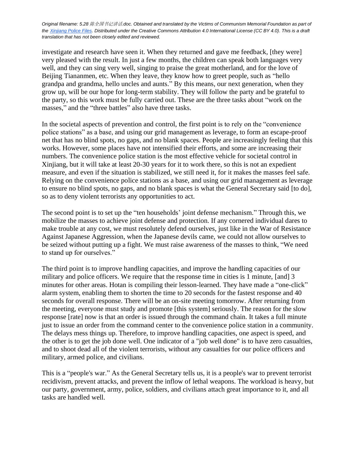investigate and research have seen it. When they returned and gave me feedback, [they were] very pleased with the result. In just a few months, the children can speak both languages very well, and they can sing very well, singing to praise the great motherland, and for the love of Beijing Tiananmen, etc. When they leave, they know how to greet people, such as "hello grandpa and grandma, hello uncles and aunts." By this means, our next generation, when they grow up, will be our hope for long-term stability. They will follow the party and be grateful to the party, so this work must be fully carried out. These are the three tasks about "work on the masses," and the "three battles" also have three tasks.

In the societal aspects of prevention and control, the first point is to rely on the "convenience police stations" as a base, and using our grid management as leverage, to form an escape-proof net that has no blind spots, no gaps, and no blank spaces. People are increasingly feeling that this works. However, some places have not intensified their efforts, and some are increasing their numbers. The convenience police station is the most effective vehicle for societal control in Xinjiang, but it will take at least 20-30 years for it to work there, so this is not an expedient measure, and even if the situation is stabilized, we still need it, for it makes the masses feel safe. Relying on the convenience police stations as a base, and using our grid management as leverage to ensure no blind spots, no gaps, and no blank spaces is what the General Secretary said [to do], so as to deny violent terrorists any opportunities to act.

The second point is to set up the "ten households' joint defense mechanism." Through this, we mobilize the masses to achieve joint defense and protection. If any cornered individual dares to make trouble at any cost, we must resolutely defend ourselves, just like in the War of Resistance Against Japanese Aggression, when the Japanese devils came, we could not allow ourselves to be seized without putting up a fight. We must raise awareness of the masses to think, "We need to stand up for ourselves."

The third point is to improve handling capacities, and improve the handling capacities of our military and police officers. We require that the response time in cities is 1 minute, [and] 3 minutes for other areas. Hotan is compiling their lesson-learned. They have made a "one-click" alarm system, enabling them to shorten the time to 20 seconds for the fastest response and 40 seconds for overall response. There will be an on-site meeting tomorrow. After returning from the meeting, everyone must study and promote [this system] seriously. The reason for the slow response [rate] now is that an order is issued through the command chain. It takes a full minute just to issue an order from the command center to the convenience police station in a community. The delays mess things up. Therefore, to improve handling capacities, one aspect is speed, and the other is to get the job done well. One indicator of a "job well done" is to have zero casualties, and to shoot dead all of the violent terrorists, without any casualties for our police officers and military, armed police, and civilians.

This is a "people's war." As the General Secretary tells us, it is a people's war to prevent terrorist recidivism, prevent attacks, and prevent the inflow of lethal weapons. The workload is heavy, but our party, government, army, police, soldiers, and civilians attach great importance to it, and all tasks are handled well.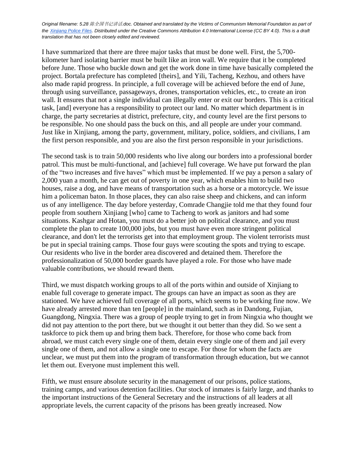I have summarized that there are three major tasks that must be done well. First, the 5,700 kilometer hard isolating barrier must be built like an iron wall. We require that it be completed before June. Those who buckle down and get the work done in time have basically completed the project. Bortala prefecture has completed [theirs], and Yili, Tacheng, Kezhou, and others have also made rapid progress. In principle, a full coverage will be achieved before the end of June, through using surveillance, passageways, drones, transportation vehicles, etc., to create an iron wall. It ensures that not a single individual can illegally enter or exit our borders. This is a critical task, [and] everyone has a responsibility to protect our land. No matter which department is in charge, the party secretaries at district, prefecture, city, and county level are the first persons to be responsible. No one should pass the buck on this, and all people are under your command. Just like in Xinjiang, among the party, government, military, police, soldiers, and civilians, I am the first person responsible, and you are also the first person responsible in your jurisdictions.

The second task is to train 50,000 residents who live along our borders into a professional border patrol. This must be multi-functional, and [achieve] full coverage. We have put forward the plan of the "two increases and five haves" which must be implemented. If we pay a person a salary of 2,000 yuan a month, he can get out of poverty in one year, which enables him to build two houses, raise a dog, and have means of transportation such as a horse or a motorcycle. We issue him a policeman baton. In those places, they can also raise sheep and chickens, and can inform us of any intelligence. The day before yesterday, Comrade Changjie told me that they found four people from southern Xinjiang [who] came to Tacheng to work as janitors and had some situations. Kashgar and Hotan, you must do a better job on political clearance, and you must complete the plan to create 100,000 jobs, but you must have even more stringent political clearance, and don't let the terrorists get into that employment group. The violent terrorists must be put in special training camps. Those four guys were scouting the spots and trying to escape. Our residents who live in the border area discovered and detained them. Therefore the professionalization of 50,000 border guards have played a role. For those who have made valuable contributions, we should reward them.

Third, we must dispatch working groups to all of the ports within and outside of Xinjiang to enable full coverage to generate impact. The groups can have an impact as soon as they are stationed. We have achieved full coverage of all ports, which seems to be working fine now. We have already arrested more than ten [people] in the mainland, such as in Dandong, Fujian, Guangdong, Ningxia. There was a group of people trying to get in from Ningxia who thought we did not pay attention to the port there, but we thought it out better than they did. So we sent a taskforce to pick them up and bring them back. Therefore, for those who come back from abroad, we must catch every single one of them, detain every single one of them and jail every single one of them, and not allow a single one to escape. For those for whom the facts are unclear, we must put them into the program of transformation through education, but we cannot let them out. Everyone must implement this well.

Fifth, we must ensure absolute security in the management of our prisons, police stations, training camps, and various detention facilities. Our stock of inmates is fairly large, and thanks to the important instructions of the General Secretary and the instructions of all leaders at all appropriate levels, the current capacity of the prisons has been greatly increased. Now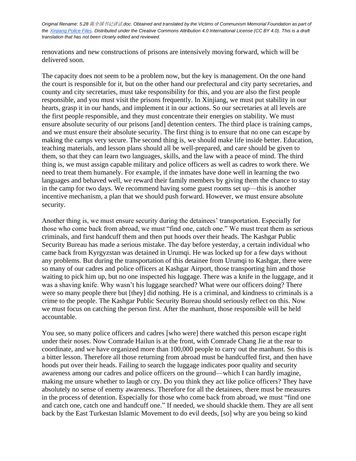renovations and new constructions of prisons are intensively moving forward, which will be delivered soon.

The capacity does not seem to be a problem now, but the key is management. On the one hand the court is responsible for it, but on the other hand our prefectural and city party secretaries, and county and city secretaries, must take responsibility for this, and you are also the first people responsible, and you must visit the prisons frequently. In Xinjiang, we must put stability in our hearts, grasp it in our hands, and implement it in our actions. So our secretaries at all levels are the first people responsible, and they must concentrate their energies on stability. We must ensure absolute security of our prisons [and] detention centers. The third place is training camps, and we must ensure their absolute security. The first thing is to ensure that no one can escape by making the camps very secure. The second thing is, we should make life inside better. Education, teaching materials, and lesson plans should all be well-prepared, and care should be given to them, so that they can learn two languages, skills, and the law with a peace of mind. The third thing is, we must assign capable military and police officers as well as cadres to work there. We need to treat them humanely. For example, if the inmates have done well in learning the two languages and behaved well, we reward their family members by giving them the chance to stay in the camp for two days. We recommend having some guest rooms set up—this is another incentive mechanism, a plan that we should push forward. However, we must ensure absolute security.

Another thing is, we must ensure security during the detainees' transportation. Especially for those who come back from abroad, we must "find one, catch one." We must treat them as serious criminals, and first handcuff them and then put hoods over their heads. The Kashgar Public Security Bureau has made a serious mistake. The day before yesterday, a certain individual who came back from Kyrgyzstan was detained in Urumqi. He was locked up for a few days without any problems. But during the transportation of this detainee from Urumqi to Kashgar, there were so many of our cadres and police officers at Kashgar Airport, those transporting him and those waiting to pick him up, but no one inspected his luggage. There was a knife in the luggage, and it was a shaving knife. Why wasn't his luggage searched? What were our officers doing? There were so many people there but [they] did nothing. He is a criminal, and kindness to criminals is a crime to the people. The Kashgar Public Security Bureau should seriously reflect on this. Now we must focus on catching the person first. After the manhunt, those responsible will be held accountable.

You see, so many police officers and cadres [who were] there watched this person escape right under their noses. Now Comrade Hailun is at the front, with Comrade Chang Jie at the rear to coordinate, and we have organized more than 100,000 people to carry out the manhunt. So this is a bitter lesson. Therefore all those returning from abroad must be handcuffed first, and then have hoods put over their heads. Failing to search the luggage indicates poor quality and security awareness among our cadres and police officers on the ground—which I can hardly imagine, making me unsure whether to laugh or cry. Do you think they act like police officers? They have absolutely no sense of enemy awareness. Therefore for all the detainees, there must be measures in the process of detention. Especially for those who come back from abroad, we must "find one and catch one, catch one and handcuff one." If needed, we should shackle them. They are all sent back by the East Turkestan Islamic Movement to do evil deeds, [so] why are you being so kind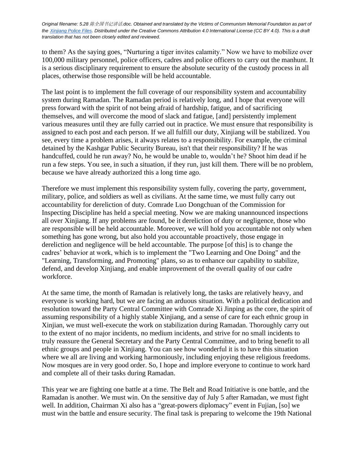to them? As the saying goes, "Nurturing a tiger invites calamity." Now we have to mobilize over 100,000 military personnel, police officers, cadres and police officers to carry out the manhunt. It is a serious disciplinary requirement to ensure the absolute security of the custody process in all places, otherwise those responsible will be held accountable.

The last point is to implement the full coverage of our responsibility system and accountability system during Ramadan. The Ramadan period is relatively long, and I hope that everyone will press forward with the spirit of not being afraid of hardship, fatigue, and of sacrificing themselves, and will overcome the mood of slack and fatigue, [and] persistently implement various measures until they are fully carried out in practice. We must ensure that responsibility is assigned to each post and each person. If we all fulfill our duty, Xinjiang will be stabilized. You see, every time a problem arises, it always relates to a responsibility. For example, the criminal detained by the Kashgar Public Security Bureau, isn't that their responsibility? If he was handcuffed, could he run away? No, he would be unable to, wouldn't he? Shoot him dead if he run a few steps. You see, in such a situation, if they run, just kill them. There will be no problem, because we have already authorized this a long time ago.

Therefore we must implement this responsibility system fully, covering the party, government, military, police, and soldiers as well as civilians. At the same time, we must fully carry out accountability for dereliction of duty. Comrade Luo Dongchuan of the Commission for Inspecting Discipline has held a special meeting. Now we are making unannounced inspections all over Xinjiang. If any problems are found, be it dereliction of duty or negligence, those who are responsible will be held accountable. Moreover, we will hold you accountable not only when something has gone wrong, but also hold you accountable proactively, those engage in dereliction and negligence will be held accountable. The purpose [of this] is to change the cadres' behavior at work, which is to implement the "Two Learning and One Doing" and the "Learning, Transforming, and Promoting" plans, so as to enhance our capability to stabilize, defend, and develop Xinjiang, and enable improvement of the overall quality of our cadre workforce.

At the same time, the month of Ramadan is relatively long, the tasks are relatively heavy, and everyone is working hard, but we are facing an arduous situation. With a political dedication and resolution toward the Party Central Committee with Comrade Xi Jinping as the core, the spirit of assuming responsibility of a highly stable Xinjiang, and a sense of care for each ethnic group in Xinjian, we must well-execute the work on stabilization during Ramadan. Thoroughly carry out to the extent of no major incidents, no medium incidents, and strive for no small incidents to truly reassure the General Secretary and the Party Central Committee, and to bring benefit to all ethnic groups and people in Xinjiang. You can see how wonderful it is to have this situation where we all are living and working harmoniously, including enjoying these religious freedoms. Now mosques are in very good order. So, I hope and implore everyone to continue to work hard and complete all of their tasks during Ramadan.

This year we are fighting one battle at a time. The Belt and Road Initiative is one battle, and the Ramadan is another. We must win. On the sensitive day of July 5 after Ramadan, we must fight well. In addition, Chairman Xi also has a "great-powers diplomacy" event in Fujian, [so] we must win the battle and ensure security. The final task is preparing to welcome the 19th National